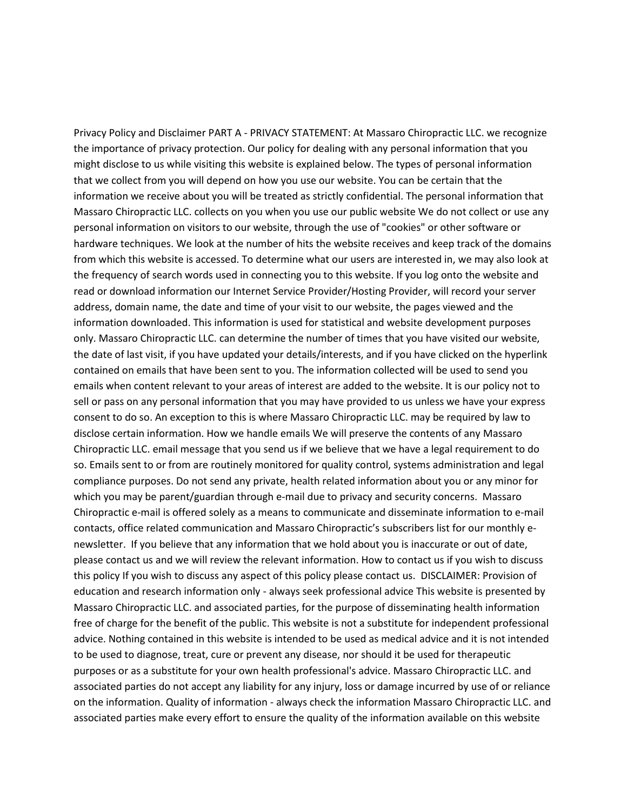Privacy Policy and Disclaimer PART A - PRIVACY STATEMENT: At Massaro Chiropractic LLC. we recognize the importance of privacy protection. Our policy for dealing with any personal information that you might disclose to us while visiting this website is explained below. The types of personal information that we collect from you will depend on how you use our website. You can be certain that the information we receive about you will be treated as strictly confidential. The personal information that Massaro Chiropractic LLC. collects on you when you use our public website We do not collect or use any personal information on visitors to our website, through the use of "cookies" or other software or hardware techniques. We look at the number of hits the website receives and keep track of the domains from which this website is accessed. To determine what our users are interested in, we may also look at the frequency of search words used in connecting you to this website. If you log onto the website and read or download information our Internet Service Provider/Hosting Provider, will record your server address, domain name, the date and time of your visit to our website, the pages viewed and the information downloaded. This information is used for statistical and website development purposes only. Massaro Chiropractic LLC. can determine the number of times that you have visited our website, the date of last visit, if you have updated your details/interests, and if you have clicked on the hyperlink contained on emails that have been sent to you. The information collected will be used to send you emails when content relevant to your areas of interest are added to the website. It is our policy not to sell or pass on any personal information that you may have provided to us unless we have your express consent to do so. An exception to this is where Massaro Chiropractic LLC. may be required by law to disclose certain information. How we handle emails We will preserve the contents of any Massaro Chiropractic LLC. email message that you send us if we believe that we have a legal requirement to do so. Emails sent to or from are routinely monitored for quality control, systems administration and legal compliance purposes. Do not send any private, health related information about you or any minor for which you may be parent/guardian through e-mail due to privacy and security concerns. Massaro Chiropractic e-mail is offered solely as a means to communicate and disseminate information to e-mail contacts, office related communication and Massaro Chiropractic's subscribers list for our monthly enewsletter. If you believe that any information that we hold about you is inaccurate or out of date, please contact us and we will review the relevant information. How to contact us if you wish to discuss this policy If you wish to discuss any aspect of this policy please contact us. DISCLAIMER: Provision of education and research information only - always seek professional advice This website is presented by Massaro Chiropractic LLC. and associated parties, for the purpose of disseminating health information free of charge for the benefit of the public. This website is not a substitute for independent professional advice. Nothing contained in this website is intended to be used as medical advice and it is not intended to be used to diagnose, treat, cure or prevent any disease, nor should it be used for therapeutic purposes or as a substitute for your own health professional's advice. Massaro Chiropractic LLC. and associated parties do not accept any liability for any injury, loss or damage incurred by use of or reliance on the information. Quality of information - always check the information Massaro Chiropractic LLC. and associated parties make every effort to ensure the quality of the information available on this website